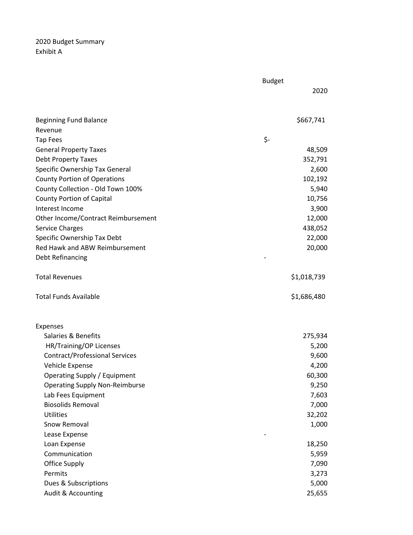2020 Budget Summary Exhibit A

|                                       | <b>Budget</b> |             |
|---------------------------------------|---------------|-------------|
|                                       |               | 2020        |
|                                       |               |             |
| <b>Beginning Fund Balance</b>         |               | \$667,741   |
| Revenue                               |               |             |
| <b>Tap Fees</b>                       | \$-           |             |
| <b>General Property Taxes</b>         |               | 48,509      |
| <b>Debt Property Taxes</b>            |               | 352,791     |
| Specific Ownership Tax General        |               | 2,600       |
| <b>County Portion of Operations</b>   |               | 102,192     |
| County Collection - Old Town 100%     |               | 5,940       |
| County Portion of Capital             |               | 10,756      |
| Interest Income                       |               | 3,900       |
| Other Income/Contract Reimbursement   |               | 12,000      |
| <b>Service Charges</b>                |               | 438,052     |
| Specific Ownership Tax Debt           |               | 22,000      |
| Red Hawk and ABW Reimbursement        |               | 20,000      |
| <b>Debt Refinancing</b>               |               |             |
| <b>Total Revenues</b>                 |               | \$1,018,739 |
|                                       |               |             |
| <b>Total Funds Available</b>          |               | \$1,686,480 |
|                                       |               |             |
| <b>Expenses</b>                       |               |             |
| Salaries & Benefits                   |               | 275,934     |
| HR/Training/OP Licenses               |               | 5,200       |
| <b>Contract/Professional Services</b> |               | 9,600       |
| Vehicle Expense                       |               | 4,200       |
| Operating Supply / Equipment          |               | 60,300      |
| <b>Operating Supply Non-Reimburse</b> |               | 9,250       |
| Lab Fees Equipment                    |               | 7,603       |
| <b>Biosolids Removal</b>              |               | 7,000       |
| <b>Utilities</b>                      |               | 32,202      |
| Snow Removal                          |               | 1,000       |
| Lease Expense                         |               |             |
| Loan Expense                          |               | 18,250      |
| Communication                         |               | 5,959       |
| Office Supply                         |               | 7,090       |
| Permits                               |               | 3,273       |
| Dues & Subscriptions                  |               | 5,000       |
| Audit & Accounting                    |               | 25,655      |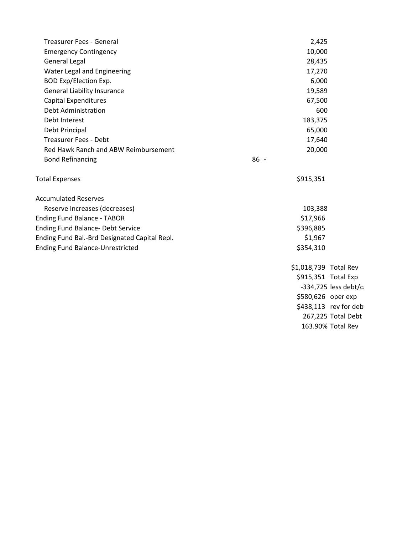| <b>Treasurer Fees - General</b>               | 2,425                 |  |  |
|-----------------------------------------------|-----------------------|--|--|
| <b>Emergency Contingency</b>                  | 10,000                |  |  |
| <b>General Legal</b>                          | 28,435                |  |  |
| Water Legal and Engineering                   | 17,270                |  |  |
| <b>BOD Exp/Election Exp.</b>                  | 6,000                 |  |  |
| <b>General Liability Insurance</b>            | 19,589                |  |  |
| <b>Capital Expenditures</b>                   | 67,500                |  |  |
| Debt Administration                           | 600                   |  |  |
| Debt Interest                                 | 183,375               |  |  |
| Debt Principal                                | 65,000                |  |  |
| <b>Treasurer Fees - Debt</b>                  | 17,640                |  |  |
| Red Hawk Ranch and ABW Reimbursement          | 20,000                |  |  |
| <b>Bond Refinancing</b>                       | $86 -$                |  |  |
| <b>Total Expenses</b>                         | \$915,351             |  |  |
| <b>Accumulated Reserves</b>                   |                       |  |  |
| Reserve Increases (decreases)                 | 103,388               |  |  |
| <b>Ending Fund Balance - TABOR</b>            | \$17,966              |  |  |
| <b>Ending Fund Balance- Debt Service</b>      | \$396,885             |  |  |
| Ending Fund Bal.-Brd Designated Capital Repl. | \$1,967               |  |  |
| <b>Ending Fund Balance-Unrestricted</b>       | \$354,310             |  |  |
|                                               | \$1,018,739 Total Rev |  |  |
|                                               | \$915,351 Total Exp   |  |  |
|                                               | -334,725 less debt/ca |  |  |
|                                               | \$580,626 oper exp    |  |  |
|                                               | \$438,113 rev for deb |  |  |
|                                               | 267,225 Total Debt    |  |  |

163.90% Total Rev